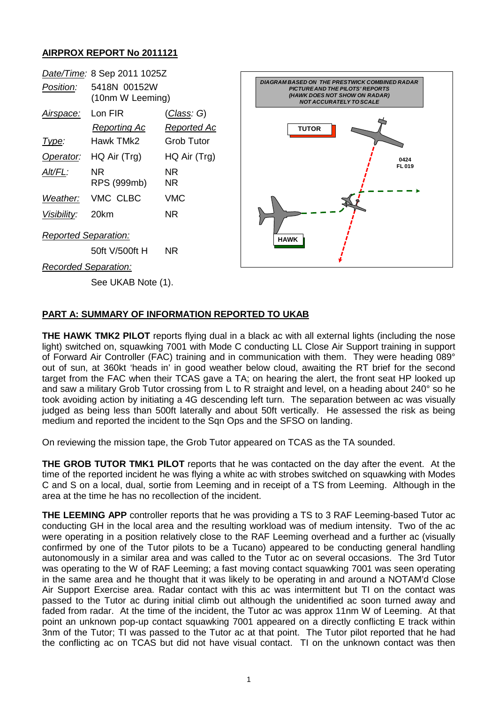## **AIRPROX REPORT No 2011121**

|                      | Date/Time: 8 Sep 2011 1025Z      |                                          |                                                                                                                                                                   |
|----------------------|----------------------------------|------------------------------------------|-------------------------------------------------------------------------------------------------------------------------------------------------------------------|
| Position:            | 5418N 00152W<br>(10nm W Leeming) |                                          | <b>DIAGRAM BASED ON THE PRESTWICK COMBINED RADAR</b><br><b>PICTURE AND THE PILOTS' REPORTS</b><br>(HAWK DOES NOT SHOW ON RADAR)<br><b>NOT ACCURATELY TO SCALE</b> |
| Airspace:            | Lon FIR<br><b>Reporting Ac</b>   | <u>(Class</u> : G)<br><b>Reported Ac</b> | <b>TUTOR</b>                                                                                                                                                      |
| <u>Type:</u>         | Hawk TMk2                        | <b>Grob Tutor</b>                        |                                                                                                                                                                   |
| Operator:            | HQ Air (Trg)                     | HQ Air (Trg)                             | 0424                                                                                                                                                              |
| Alt/FL:              | NR.<br>RPS (999mb)               | NR.<br><b>NR</b>                         | FL 019                                                                                                                                                            |
| Weather:             | VMC CLBC                         | <b>VMC</b>                               |                                                                                                                                                                   |
| Visibility:          | 20km                             | NR.                                      |                                                                                                                                                                   |
| Reported Separation: |                                  |                                          | <b>HAWK</b>                                                                                                                                                       |
|                      | 50ft V/500ft H                   | NR.                                      |                                                                                                                                                                   |
|                      | <b>Recorded Separation:</b>      |                                          |                                                                                                                                                                   |
|                      |                                  |                                          |                                                                                                                                                                   |

## **PART A: SUMMARY OF INFORMATION REPORTED TO UKAB**

**THE HAWK TMK2 PILOT** reports flying dual in a black ac with all external lights (including the nose light) switched on, squawking 7001 with Mode C conducting LL Close Air Support training in support of Forward Air Controller (FAC) training and in communication with them. They were heading 089° out of sun, at 360kt 'heads in' in good weather below cloud, awaiting the RT brief for the second target from the FAC when their TCAS gave a TA; on hearing the alert, the front seat HP looked up and saw a military Grob Tutor crossing from L to R straight and level, on a heading about 240° so he took avoiding action by initiating a 4G descending left turn. The separation between ac was visually judged as being less than 500ft laterally and about 50ft vertically. He assessed the risk as being medium and reported the incident to the Sqn Ops and the SFSO on landing.

On reviewing the mission tape, the Grob Tutor appeared on TCAS as the TA sounded.

**THE GROB TUTOR TMK1 PILOT** reports that he was contacted on the day after the event. At the time of the reported incident he was flying a white ac with strobes switched on squawking with Modes C and S on a local, dual, sortie from Leeming and in receipt of a TS from Leeming. Although in the area at the time he has no recollection of the incident.

**THE LEEMING APP** controller reports that he was providing a TS to 3 RAF Leeming-based Tutor ac conducting GH in the local area and the resulting workload was of medium intensity. Two of the ac were operating in a position relatively close to the RAF Leeming overhead and a further ac (visually confirmed by one of the Tutor pilots to be a Tucano) appeared to be conducting general handling autonomously in a similar area and was called to the Tutor ac on several occasions. The 3rd Tutor was operating to the W of RAF Leeming; a fast moving contact squawking 7001 was seen operating in the same area and he thought that it was likely to be operating in and around a NOTAM'd Close Air Support Exercise area. Radar contact with this ac was intermittent but TI on the contact was passed to the Tutor ac during initial climb out although the unidentified ac soon turned away and faded from radar. At the time of the incident, the Tutor ac was approx 11nm W of Leeming. At that point an unknown pop-up contact squawking 7001 appeared on a directly conflicting E track within 3nm of the Tutor; TI was passed to the Tutor ac at that point. The Tutor pilot reported that he had the conflicting ac on TCAS but did not have visual contact. TI on the unknown contact was then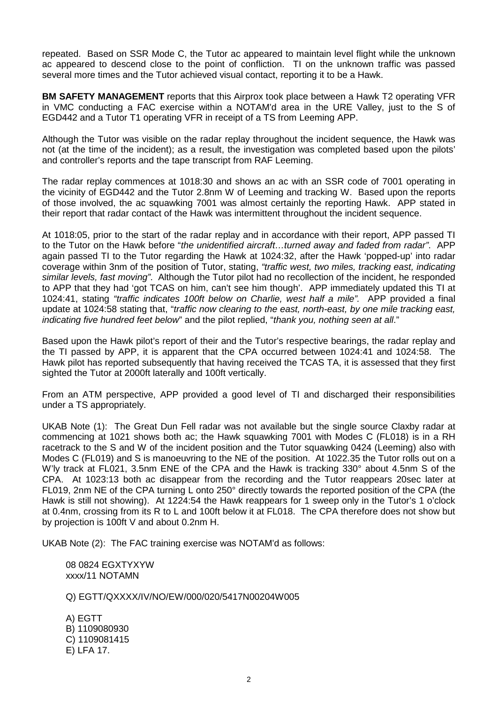repeated. Based on SSR Mode C, the Tutor ac appeared to maintain level flight while the unknown ac appeared to descend close to the point of confliction. TI on the unknown traffic was passed several more times and the Tutor achieved visual contact, reporting it to be a Hawk.

**BM SAFETY MANAGEMENT** reports that this Airprox took place between a Hawk T2 operating VFR in VMC conducting a FAC exercise within a NOTAM'd area in the URE Valley, just to the S of EGD442 and a Tutor T1 operating VFR in receipt of a TS from Leeming APP.

Although the Tutor was visible on the radar replay throughout the incident sequence, the Hawk was not (at the time of the incident); as a result, the investigation was completed based upon the pilots' and controller's reports and the tape transcript from RAF Leeming.

The radar replay commences at 1018:30 and shows an ac with an SSR code of 7001 operating in the vicinity of EGD442 and the Tutor 2.8nm W of Leeming and tracking W. Based upon the reports of those involved, the ac squawking 7001 was almost certainly the reporting Hawk. APP stated in their report that radar contact of the Hawk was intermittent throughout the incident sequence.

At 1018:05, prior to the start of the radar replay and in accordance with their report, APP passed TI to the Tutor on the Hawk before "*the unidentified aircraft…turned away and faded from radar"*. APP again passed TI to the Tutor regarding the Hawk at 1024:32, after the Hawk 'popped-up' into radar coverage within 3nm of the position of Tutor, stating, *"traffic west, two miles, tracking east, indicating similar levels, fast moving"*. Although the Tutor pilot had no recollection of the incident, he responded to APP that they had 'got TCAS on him, can't see him though'. APP immediately updated this TI at 1024:41, stating *"traffic indicates 100ft below on Charlie, west half a mile".* APP provided a final update at 1024:58 stating that, "*traffic now clearing to the east, north-east, by one mile tracking east, indicating five hundred feet below*" and the pilot replied, "*thank you, nothing seen at all*."

Based upon the Hawk pilot's report of their and the Tutor's respective bearings, the radar replay and the TI passed by APP, it is apparent that the CPA occurred between 1024:41 and 1024:58. The Hawk pilot has reported subsequently that having received the TCAS TA, it is assessed that they first sighted the Tutor at 2000ft laterally and 100ft vertically.

From an ATM perspective, APP provided a good level of TI and discharged their responsibilities under a TS appropriately.

UKAB Note (1): The Great Dun Fell radar was not available but the single source Claxby radar at commencing at 1021 shows both ac; the Hawk squawking 7001 with Modes C (FL018) is in a RH racetrack to the S and W of the incident position and the Tutor squawking 0424 (Leeming) also with Modes C (FL019) and S is manoeuvring to the NE of the position. At 1022.35 the Tutor rolls out on a W'ly track at FL021, 3.5nm ENE of the CPA and the Hawk is tracking 330° about 4.5nm S of the CPA. At 1023:13 both ac disappear from the recording and the Tutor reappears 20sec later at FL019, 2nm NE of the CPA turning L onto 250° directly towards the reported position of the CPA (the Hawk is still not showing). At 1224:54 the Hawk reappears for 1 sweep only in the Tutor's 1 o'clock at 0.4nm, crossing from its R to L and 100ft below it at FL018. The CPA therefore does not show but by projection is 100ft V and about 0.2nm H.

UKAB Note (2): The FAC training exercise was NOTAM'd as follows:

08 0824 EGXTYXYW xxxx/11 NOTAMN

Q) EGTT/QXXXX/IV/NO/EW/000/020/5417N00204W005

A) EGTT B) 1109080930 C) 1109081415 E) LFA 17.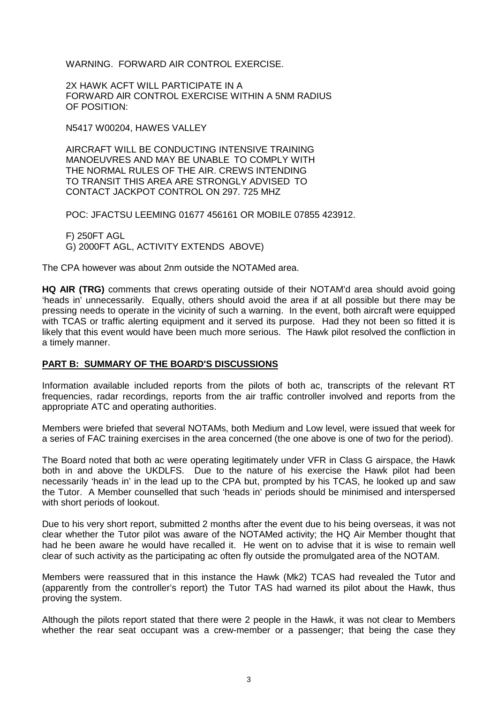WARNING. FORWARD AIR CONTROL EXERCISE.

2X HAWK ACFT WILL PARTICIPATE IN A FORWARD AlR CONTROL EXERCISE WITHIN A 5NM RADIUS OF POSITION:

N5417 W00204, HAWES VALLEY

AIRCRAFT WILL BE CONDUCTING INTENSIVE TRAINING MANOEUVRES AND MAY BE UNABLE TO COMPLY WITH THE NORMAL RULES OF THE AIR. CREWS INTENDING TO TRANSIT THIS AREA ARE STRONGLY ADVISED TO CONTACT JACKPOT CONTROL ON 297. 725 MHZ

POC: JFACTSU LEEMING 01677 456161 OR MOBILE 07855 423912.

F) 250FT AGL G) 2000FT AGL, ACTIVITY EXTENDS ABOVE)

The CPA however was about 2nm outside the NOTAMed area.

**HQ AIR (TRG)** comments that crews operating outside of their NOTAM'd area should avoid going 'heads in' unnecessarily. Equally, others should avoid the area if at all possible but there may be pressing needs to operate in the vicinity of such a warning. In the event, both aircraft were equipped with TCAS or traffic alerting equipment and it served its purpose. Had they not been so fitted it is likely that this event would have been much more serious. The Hawk pilot resolved the confliction in a timely manner.

## **PART B: SUMMARY OF THE BOARD'S DISCUSSIONS**

Information available included reports from the pilots of both ac, transcripts of the relevant RT frequencies, radar recordings, reports from the air traffic controller involved and reports from the appropriate ATC and operating authorities.

Members were briefed that several NOTAMs, both Medium and Low level, were issued that week for a series of FAC training exercises in the area concerned (the one above is one of two for the period).

The Board noted that both ac were operating legitimately under VFR in Class G airspace, the Hawk both in and above the UKDLFS. Due to the nature of his exercise the Hawk pilot had been necessarily 'heads in' in the lead up to the CPA but, prompted by his TCAS, he looked up and saw the Tutor. A Member counselled that such 'heads in' periods should be minimised and interspersed with short periods of lookout.

Due to his very short report, submitted 2 months after the event due to his being overseas, it was not clear whether the Tutor pilot was aware of the NOTAMed activity; the HQ Air Member thought that had he been aware he would have recalled it. He went on to advise that it is wise to remain well clear of such activity as the participating ac often fly outside the promulgated area of the NOTAM.

Members were reassured that in this instance the Hawk (Mk2) TCAS had revealed the Tutor and (apparently from the controller's report) the Tutor TAS had warned its pilot about the Hawk, thus proving the system.

Although the pilots report stated that there were 2 people in the Hawk, it was not clear to Members whether the rear seat occupant was a crew-member or a passenger; that being the case they